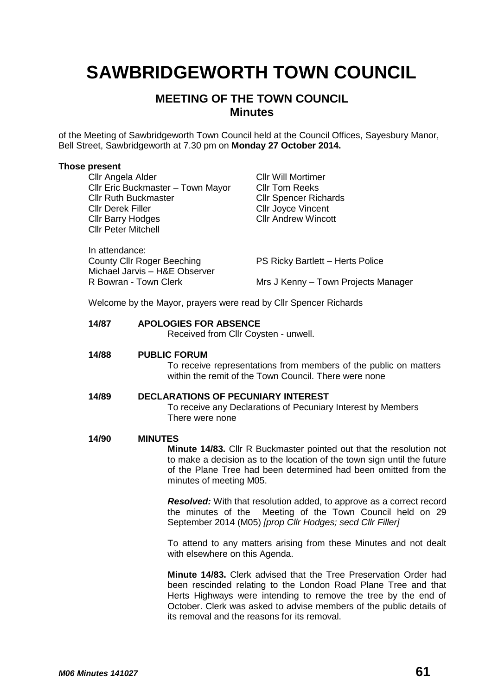# **SAWBRIDGEWORTH TOWN COUNCIL**

# **MEETING OF THE TOWN COUNCIL Minutes**

of the Meeting of Sawbridgeworth Town Council held at the Council Offices, Sayesbury Manor, Bell Street, Sawbridgeworth at 7.30 pm on **Monday 27 October 2014.**

## **Those present**

| Cllr Angela Alder<br>Cllr Eric Buckmaster - Town Mayor<br><b>Cllr Ruth Buckmaster</b><br><b>Cllr Derek Filler</b><br><b>Cllr Barry Hodges</b><br><b>Cllr Peter Mitchell</b> | <b>CIIr Will Mortimer</b><br><b>CIIr Tom Reeks</b><br><b>CIIr Spencer Richards</b><br><b>Cllr Joyce Vincent</b><br><b>Cllr Andrew Wincott</b> |
|-----------------------------------------------------------------------------------------------------------------------------------------------------------------------------|-----------------------------------------------------------------------------------------------------------------------------------------------|
| In attendance:<br><b>County Cllr Roger Beeching</b><br>Michael Jarvis - H&E Observer<br>R Bowran - Town Clerk                                                               | PS Ricky Bartlett - Herts Police<br>Mrs J Kenny - Town Projects Manager                                                                       |
|                                                                                                                                                                             |                                                                                                                                               |

Welcome by the Mayor, prayers were read by Cllr Spencer Richards

# **14/87 APOLOGIES FOR ABSENCE**

Received from Cllr Coysten - unwell.

## **14/88 PUBLIC FORUM**

To receive representations from members of the public on matters within the remit of the Town Council. There were none

# **14/89 DECLARATIONS OF PECUNIARY INTEREST**

To receive any Declarations of Pecuniary Interest by Members There were none

## **14/90 MINUTES**

**Minute 14/83.** Cllr R Buckmaster pointed out that the resolution not to make a decision as to the location of the town sign until the future of the Plane Tree had been determined had been omitted from the minutes of meeting M05.

*Resolved:* With that resolution added, to approve as a correct record the minutes of the Meeting of the Town Council held on 29 September 2014 (M05) *[prop Cllr Hodges; secd Cllr Filler]*

To attend to any matters arising from these Minutes and not dealt with elsewhere on this Agenda.

**Minute 14/83.** Clerk advised that the Tree Preservation Order had been rescinded relating to the London Road Plane Tree and that Herts Highways were intending to remove the tree by the end of October. Clerk was asked to advise members of the public details of its removal and the reasons for its removal.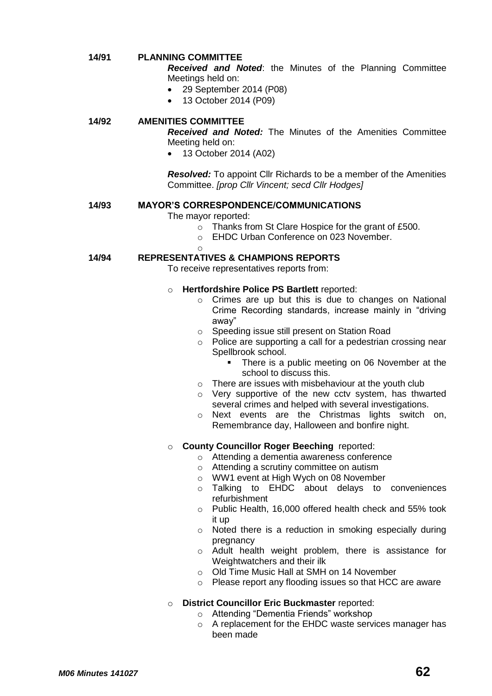## **14/91 PLANNING COMMITTEE**

*Received and Noted*: the Minutes of the Planning Committee Meetings held on:

- 29 September 2014 (P08)
- 13 October 2014 (P09)

# **14/92 AMENITIES COMMITTEE**

*Received and Noted:* The Minutes of the Amenities Committee Meeting held on:

13 October 2014 (A02)

*Resolved:* To appoint Cllr Richards to be a member of the Amenities Committee. *[prop Cllr Vincent; secd Cllr Hodges]*

# **14/93 MAYOR'S CORRESPONDENCE/COMMUNICATIONS**

#### The mayor reported:

- o Thanks from St Clare Hospice for the grant of £500.
- o EHDC Urban Conference on 023 November.
- $\sim$

# **14/94 REPRESENTATIVES & CHAMPIONS REPORTS**

To receive representatives reports from:

#### o **Hertfordshire Police PS Bartlett** reported:

- o Crimes are up but this is due to changes on National Crime Recording standards, increase mainly in "driving away"
- o Speeding issue still present on Station Road
- o Police are supporting a call for a pedestrian crossing near Spellbrook school.
	- There is a public meeting on 06 November at the school to discuss this.
- o There are issues with misbehaviour at the youth club
- o Very supportive of the new cctv system, has thwarted several crimes and helped with several investigations.
- o Next events are the Christmas lights switch on, Remembrance day, Halloween and bonfire night.

# o **County Councillor Roger Beeching** reported:

- o Attending a dementia awareness conference
- o Attending a scrutiny committee on autism
- o WW1 event at High Wych on 08 November
- o Talking to EHDC about delays to conveniences refurbishment
- o Public Health, 16,000 offered health check and 55% took it up
- o Noted there is a reduction in smoking especially during pregnancy
- o Adult health weight problem, there is assistance for Weightwatchers and their ilk
- o Old Time Music Hall at SMH on 14 November
- o Please report any flooding issues so that HCC are aware

## o **District Councillor Eric Buckmaster** reported:

- o Attending "Dementia Friends" workshop
- o A replacement for the EHDC waste services manager has been made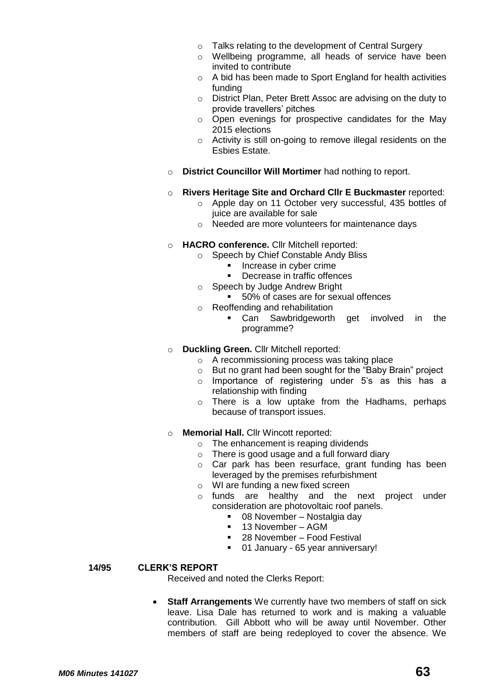- o Talks relating to the development of Central Surgery
- o Wellbeing programme, all heads of service have been invited to contribute
- o A bid has been made to Sport England for health activities funding
- o District Plan, Peter Brett Assoc are advising on the duty to provide travellers' pitches
- o Open evenings for prospective candidates for the May 2015 elections
- o Activity is still on-going to remove illegal residents on the Esbies Estate.
- o **District Councillor Will Mortimer** had nothing to report.
- o **Rivers Heritage Site and Orchard Cllr E Buckmaster** reported:
	- o Apple day on 11 October very successful, 435 bottles of juice are available for sale
	- o Needed are more volunteers for maintenance days
- o **HACRO conference.** Cllr Mitchell reported:
	- o Speech by Chief Constable Andy Bliss
		- Increase in cyber crime
		- Decrease in traffic offences
	- o Speech by Judge Andrew Bright
		- 50% of cases are for sexual offences
	- o Reoffending and rehabilitation
		- Can Sawbridgeworth get involved in the programme?
- o **Duckling Green.** Cllr Mitchell reported:
	- o A recommissioning process was taking place
	- o But no grant had been sought for the "Baby Brain" project
	- o Importance of registering under 5's as this has a relationship with finding
	- o There is a low uptake from the Hadhams, perhaps because of transport issues.
- o **Memorial Hall.** Cllr Wincott reported:
	- $\circ$  The enhancement is reaping dividends
	- o There is good usage and a full forward diary
	- o Car park has been resurface, grant funding has been leveraged by the premises refurbishment
	- o WI are funding a new fixed screen
	- o funds are healthy and the next project under consideration are photovoltaic roof panels.
		- 08 November Nostalgia day
		- 13 November AGM
		- 28 November Food Festival
		- **01 January 65 year anniversary!**

# **14/95 CLERK'S REPORT**

Received and noted the Clerks Report:

 **Staff Arrangements** We currently have two members of staff on sick leave. Lisa Dale has returned to work and is making a valuable contribution. Gill Abbott who will be away until November. Other members of staff are being redeployed to cover the absence. We